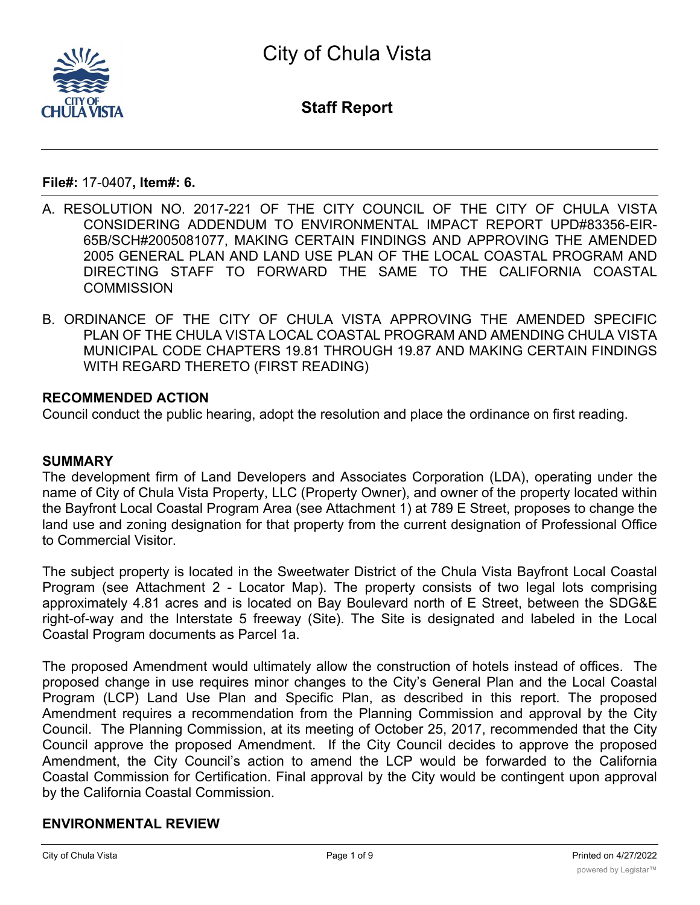

**Staff Report**

**File#:** 17-0407**, Item#: 6.**

- A. RESOLUTION NO. 2017-221 OF THE CITY COUNCIL OF THE CITY OF CHULA VISTA CONSIDERING ADDENDUM TO ENVIRONMENTAL IMPACT REPORT UPD#83356-EIR-65B/SCH#2005081077, MAKING CERTAIN FINDINGS AND APPROVING THE AMENDED 2005 GENERAL PLAN AND LAND USE PLAN OF THE LOCAL COASTAL PROGRAM AND DIRECTING STAFF TO FORWARD THE SAME TO THE CALIFORNIA COASTAL **COMMISSION**
- B. ORDINANCE OF THE CITY OF CHULA VISTA APPROVING THE AMENDED SPECIFIC PLAN OF THE CHULA VISTA LOCAL COASTAL PROGRAM AND AMENDING CHULA VISTA MUNICIPAL CODE CHAPTERS 19.81 THROUGH 19.87 AND MAKING CERTAIN FINDINGS WITH REGARD THERETO (FIRST READING)

#### **RECOMMENDED ACTION**

Council conduct the public hearing, adopt the resolution and place the ordinance on first reading.

### **SUMMARY**

The development firm of Land Developers and Associates Corporation (LDA), operating under the name of City of Chula Vista Property, LLC (Property Owner), and owner of the property located within the Bayfront Local Coastal Program Area (see Attachment 1) at 789 E Street, proposes to change the land use and zoning designation for that property from the current designation of Professional Office to Commercial Visitor.

The subject property is located in the Sweetwater District of the Chula Vista Bayfront Local Coastal Program (see Attachment 2 - Locator Map). The property consists of two legal lots comprising approximately 4.81 acres and is located on Bay Boulevard north of E Street, between the SDG&E right-of-way and the Interstate 5 freeway (Site). The Site is designated and labeled in the Local Coastal Program documents as Parcel 1a.

The proposed Amendment would ultimately allow the construction of hotels instead of offices. The proposed change in use requires minor changes to the City's General Plan and the Local Coastal Program (LCP) Land Use Plan and Specific Plan, as described in this report. The proposed Amendment requires a recommendation from the Planning Commission and approval by the City Council. The Planning Commission, at its meeting of October 25, 2017, recommended that the City Council approve the proposed Amendment. If the City Council decides to approve the proposed Amendment, the City Council's action to amend the LCP would be forwarded to the California Coastal Commission for Certification. Final approval by the City would be contingent upon approval by the California Coastal Commission.

# **ENVIRONMENTAL REVIEW**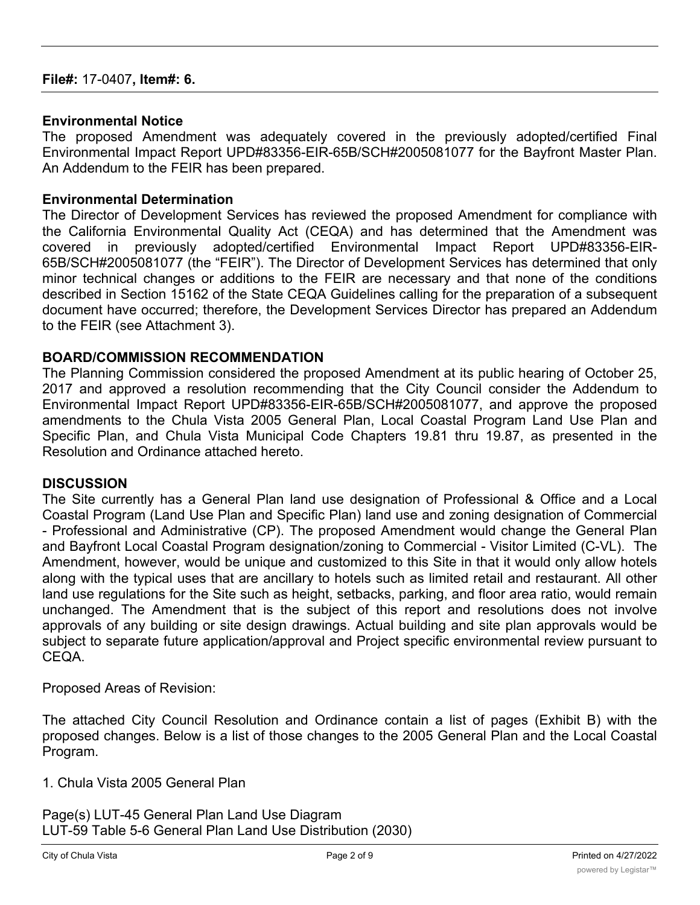### **Environmental Notice**

The proposed Amendment was adequately covered in the previously adopted/certified Final Environmental Impact Report UPD#83356-EIR-65B/SCH#2005081077 for the Bayfront Master Plan. An Addendum to the FEIR has been prepared.

### **Environmental Determination**

The Director of Development Services has reviewed the proposed Amendment for compliance with the California Environmental Quality Act (CEQA) and has determined that the Amendment was covered in previously adopted/certified Environmental Impact Report UPD#83356-EIR-65B/SCH#2005081077 (the "FEIR"). The Director of Development Services has determined that only minor technical changes or additions to the FEIR are necessary and that none of the conditions described in Section 15162 of the State CEQA Guidelines calling for the preparation of a subsequent document have occurred; therefore, the Development Services Director has prepared an Addendum to the FEIR (see Attachment 3).

### **BOARD/COMMISSION RECOMMENDATION**

The Planning Commission considered the proposed Amendment at its public hearing of October 25, 2017 and approved a resolution recommending that the City Council consider the Addendum to Environmental Impact Report UPD#83356-EIR-65B/SCH#2005081077, and approve the proposed amendments to the Chula Vista 2005 General Plan, Local Coastal Program Land Use Plan and Specific Plan, and Chula Vista Municipal Code Chapters 19.81 thru 19.87, as presented in the Resolution and Ordinance attached hereto.

### **DISCUSSION**

The Site currently has a General Plan land use designation of Professional & Office and a Local Coastal Program (Land Use Plan and Specific Plan) land use and zoning designation of Commercial - Professional and Administrative (CP). The proposed Amendment would change the General Plan and Bayfront Local Coastal Program designation/zoning to Commercial - Visitor Limited (C-VL). The Amendment, however, would be unique and customized to this Site in that it would only allow hotels along with the typical uses that are ancillary to hotels such as limited retail and restaurant. All other land use regulations for the Site such as height, setbacks, parking, and floor area ratio, would remain unchanged. The Amendment that is the subject of this report and resolutions does not involve approvals of any building or site design drawings. Actual building and site plan approvals would be subject to separate future application/approval and Project specific environmental review pursuant to CEQA.

Proposed Areas of Revision:

The attached City Council Resolution and Ordinance contain a list of pages (Exhibit B) with the proposed changes. Below is a list of those changes to the 2005 General Plan and the Local Coastal Program.

1. Chula Vista 2005 General Plan

Page(s) LUT-45 General Plan Land Use Diagram LUT-59 Table 5-6 General Plan Land Use Distribution (2030)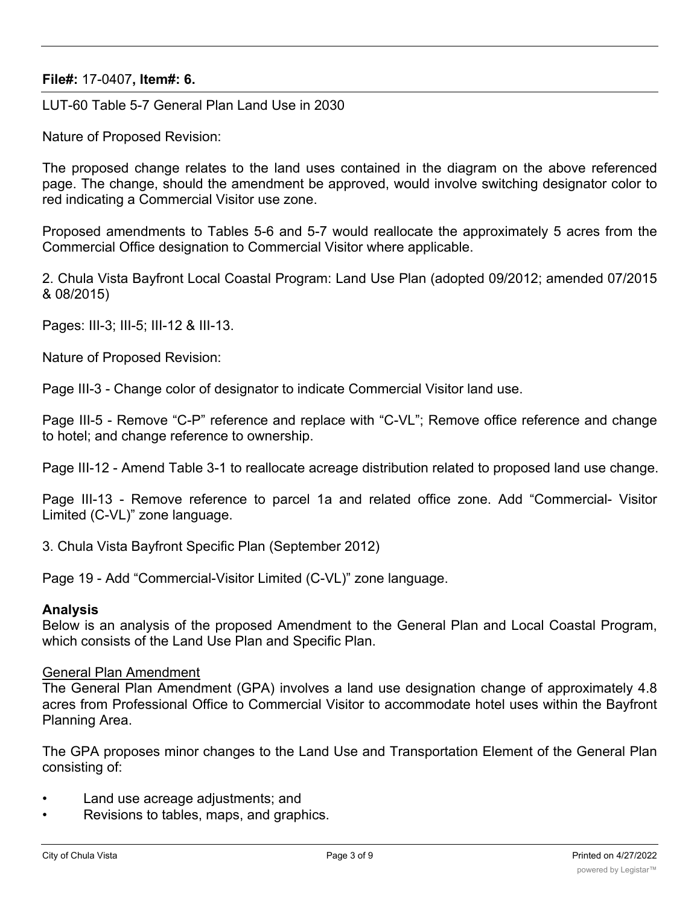LUT-60 Table 5-7 General Plan Land Use in 2030

Nature of Proposed Revision:

The proposed change relates to the land uses contained in the diagram on the above referenced page. The change, should the amendment be approved, would involve switching designator color to red indicating a Commercial Visitor use zone.

Proposed amendments to Tables 5-6 and 5-7 would reallocate the approximately 5 acres from the Commercial Office designation to Commercial Visitor where applicable.

2. Chula Vista Bayfront Local Coastal Program: Land Use Plan (adopted 09/2012; amended 07/2015 & 08/2015)

Pages: III-3; III-5; III-12 & III-13.

Nature of Proposed Revision:

Page III-3 - Change color of designator to indicate Commercial Visitor land use.

Page III-5 - Remove "C-P" reference and replace with "C-VL"; Remove office reference and change to hotel; and change reference to ownership.

Page III-12 - Amend Table 3-1 to reallocate acreage distribution related to proposed land use change.

Page III-13 - Remove reference to parcel 1a and related office zone. Add "Commercial- Visitor Limited (C-VL)" zone language.

3. Chula Vista Bayfront Specific Plan (September 2012)

Page 19 - Add "Commercial-Visitor Limited (C-VL)" zone language.

#### **Analysis**

Below is an analysis of the proposed Amendment to the General Plan and Local Coastal Program, which consists of the Land Use Plan and Specific Plan.

#### General Plan Amendment

The General Plan Amendment (GPA) involves a land use designation change of approximately 4.8 acres from Professional Office to Commercial Visitor to accommodate hotel uses within the Bayfront Planning Area.

The GPA proposes minor changes to the Land Use and Transportation Element of the General Plan consisting of:

- Land use acreage adjustments; and
- Revisions to tables, maps, and graphics.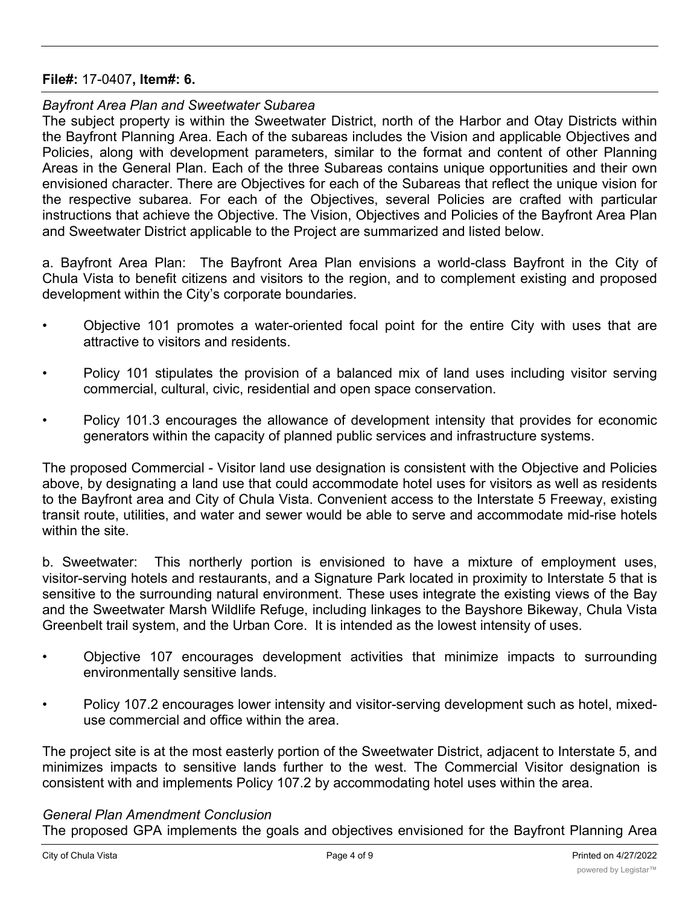### *Bayfront Area Plan and Sweetwater Subarea*

The subject property is within the Sweetwater District, north of the Harbor and Otay Districts within the Bayfront Planning Area. Each of the subareas includes the Vision and applicable Objectives and Policies, along with development parameters, similar to the format and content of other Planning Areas in the General Plan. Each of the three Subareas contains unique opportunities and their own envisioned character. There are Objectives for each of the Subareas that reflect the unique vision for the respective subarea. For each of the Objectives, several Policies are crafted with particular instructions that achieve the Objective. The Vision, Objectives and Policies of the Bayfront Area Plan and Sweetwater District applicable to the Project are summarized and listed below.

a. Bayfront Area Plan: The Bayfront Area Plan envisions a world-class Bayfront in the City of Chula Vista to benefit citizens and visitors to the region, and to complement existing and proposed development within the City's corporate boundaries.

- Objective 101 promotes a water-oriented focal point for the entire City with uses that are attractive to visitors and residents.
- Policy 101 stipulates the provision of a balanced mix of land uses including visitor serving commercial, cultural, civic, residential and open space conservation.
- Policy 101.3 encourages the allowance of development intensity that provides for economic generators within the capacity of planned public services and infrastructure systems.

The proposed Commercial - Visitor land use designation is consistent with the Objective and Policies above, by designating a land use that could accommodate hotel uses for visitors as well as residents to the Bayfront area and City of Chula Vista. Convenient access to the Interstate 5 Freeway, existing transit route, utilities, and water and sewer would be able to serve and accommodate mid-rise hotels within the site.

b. Sweetwater: This northerly portion is envisioned to have a mixture of employment uses, visitor-serving hotels and restaurants, and a Signature Park located in proximity to Interstate 5 that is sensitive to the surrounding natural environment. These uses integrate the existing views of the Bay and the Sweetwater Marsh Wildlife Refuge, including linkages to the Bayshore Bikeway, Chula Vista Greenbelt trail system, and the Urban Core. It is intended as the lowest intensity of uses.

- Objective 107 encourages development activities that minimize impacts to surrounding environmentally sensitive lands.
- Policy 107.2 encourages lower intensity and visitor-serving development such as hotel, mixeduse commercial and office within the area.

The project site is at the most easterly portion of the Sweetwater District, adjacent to Interstate 5, and minimizes impacts to sensitive lands further to the west. The Commercial Visitor designation is consistent with and implements Policy 107.2 by accommodating hotel uses within the area.

### *General Plan Amendment Conclusion*

The proposed GPA implements the goals and objectives envisioned for the Bayfront Planning Area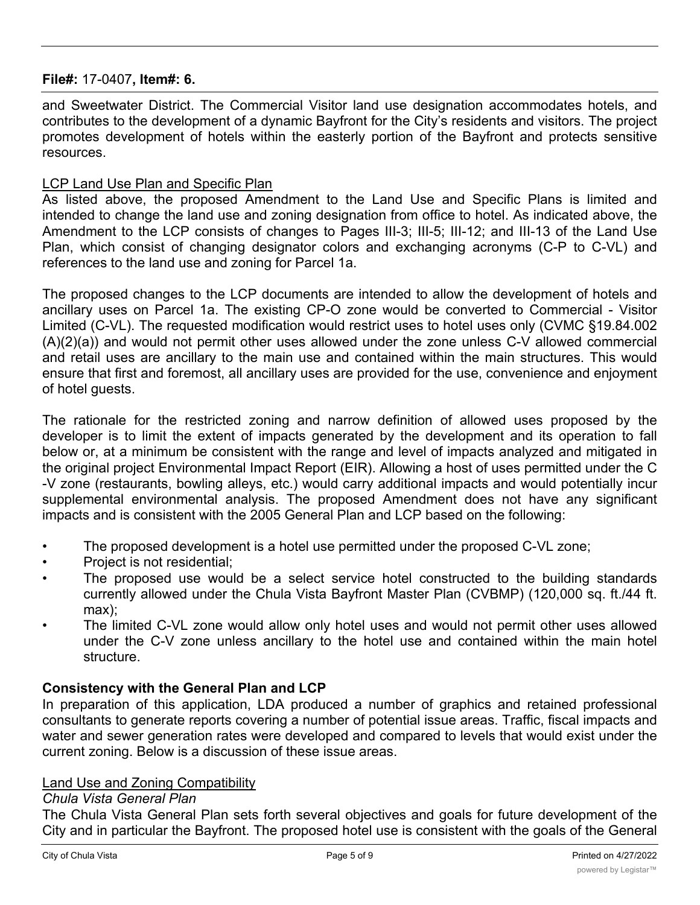and Sweetwater District. The Commercial Visitor land use designation accommodates hotels, and contributes to the development of a dynamic Bayfront for the City's residents and visitors. The project promotes development of hotels within the easterly portion of the Bayfront and protects sensitive resources.

### LCP Land Use Plan and Specific Plan

As listed above, the proposed Amendment to the Land Use and Specific Plans is limited and intended to change the land use and zoning designation from office to hotel. As indicated above, the Amendment to the LCP consists of changes to Pages III-3; III-5; III-12; and III-13 of the Land Use Plan, which consist of changing designator colors and exchanging acronyms (C-P to C-VL) and references to the land use and zoning for Parcel 1a.

The proposed changes to the LCP documents are intended to allow the development of hotels and ancillary uses on Parcel 1a. The existing CP-O zone would be converted to Commercial - Visitor Limited (C-VL). The requested modification would restrict uses to hotel uses only (CVMC §19.84.002 (A)(2)(a)) and would not permit other uses allowed under the zone unless C-V allowed commercial and retail uses are ancillary to the main use and contained within the main structures. This would ensure that first and foremost, all ancillary uses are provided for the use, convenience and enjoyment of hotel guests.

The rationale for the restricted zoning and narrow definition of allowed uses proposed by the developer is to limit the extent of impacts generated by the development and its operation to fall below or, at a minimum be consistent with the range and level of impacts analyzed and mitigated in the original project Environmental Impact Report (EIR). Allowing a host of uses permitted under the C -V zone (restaurants, bowling alleys, etc.) would carry additional impacts and would potentially incur supplemental environmental analysis. The proposed Amendment does not have any significant impacts and is consistent with the 2005 General Plan and LCP based on the following:

- The proposed development is a hotel use permitted under the proposed C-VL zone;
- Project is not residential;
- The proposed use would be a select service hotel constructed to the building standards currently allowed under the Chula Vista Bayfront Master Plan (CVBMP) (120,000 sq. ft./44 ft. max);
- The limited C-VL zone would allow only hotel uses and would not permit other uses allowed under the C-V zone unless ancillary to the hotel use and contained within the main hotel structure.

# **Consistency with the General Plan and LCP**

In preparation of this application, LDA produced a number of graphics and retained professional consultants to generate reports covering a number of potential issue areas. Traffic, fiscal impacts and water and sewer generation rates were developed and compared to levels that would exist under the current zoning. Below is a discussion of these issue areas.

### Land Use and Zoning Compatibility

### *Chula Vista General Plan*

The Chula Vista General Plan sets forth several objectives and goals for future development of the City and in particular the Bayfront. The proposed hotel use is consistent with the goals of the General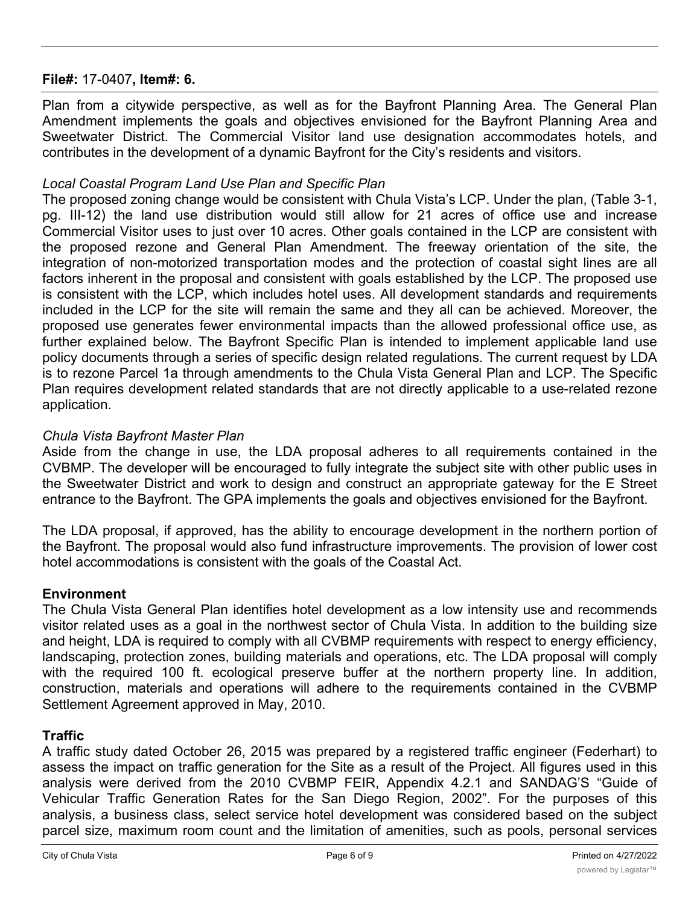Plan from a citywide perspective, as well as for the Bayfront Planning Area. The General Plan Amendment implements the goals and objectives envisioned for the Bayfront Planning Area and Sweetwater District. The Commercial Visitor land use designation accommodates hotels, and contributes in the development of a dynamic Bayfront for the City's residents and visitors.

# *Local Coastal Program Land Use Plan and Specific Plan*

The proposed zoning change would be consistent with Chula Vista's LCP. Under the plan, (Table 3-1, pg. III-12) the land use distribution would still allow for 21 acres of office use and increase Commercial Visitor uses to just over 10 acres. Other goals contained in the LCP are consistent with the proposed rezone and General Plan Amendment. The freeway orientation of the site, the integration of non-motorized transportation modes and the protection of coastal sight lines are all factors inherent in the proposal and consistent with goals established by the LCP. The proposed use is consistent with the LCP, which includes hotel uses. All development standards and requirements included in the LCP for the site will remain the same and they all can be achieved. Moreover, the proposed use generates fewer environmental impacts than the allowed professional office use, as further explained below. The Bayfront Specific Plan is intended to implement applicable land use policy documents through a series of specific design related regulations. The current request by LDA is to rezone Parcel 1a through amendments to the Chula Vista General Plan and LCP. The Specific Plan requires development related standards that are not directly applicable to a use-related rezone application.

# *Chula Vista Bayfront Master Plan*

Aside from the change in use, the LDA proposal adheres to all requirements contained in the CVBMP. The developer will be encouraged to fully integrate the subject site with other public uses in the Sweetwater District and work to design and construct an appropriate gateway for the E Street entrance to the Bayfront. The GPA implements the goals and objectives envisioned for the Bayfront.

The LDA proposal, if approved, has the ability to encourage development in the northern portion of the Bayfront. The proposal would also fund infrastructure improvements. The provision of lower cost hotel accommodations is consistent with the goals of the Coastal Act.

# **Environment**

The Chula Vista General Plan identifies hotel development as a low intensity use and recommends visitor related uses as a goal in the northwest sector of Chula Vista. In addition to the building size and height, LDA is required to comply with all CVBMP requirements with respect to energy efficiency, landscaping, protection zones, building materials and operations, etc. The LDA proposal will comply with the required 100 ft. ecological preserve buffer at the northern property line. In addition, construction, materials and operations will adhere to the requirements contained in the CVBMP Settlement Agreement approved in May, 2010.

# **Traffic**

A traffic study dated October 26, 2015 was prepared by a registered traffic engineer (Federhart) to assess the impact on traffic generation for the Site as a result of the Project. All figures used in this analysis were derived from the 2010 CVBMP FEIR, Appendix 4.2.1 and SANDAG'S "Guide of Vehicular Traffic Generation Rates for the San Diego Region, 2002". For the purposes of this analysis, a business class, select service hotel development was considered based on the subject parcel size, maximum room count and the limitation of amenities, such as pools, personal services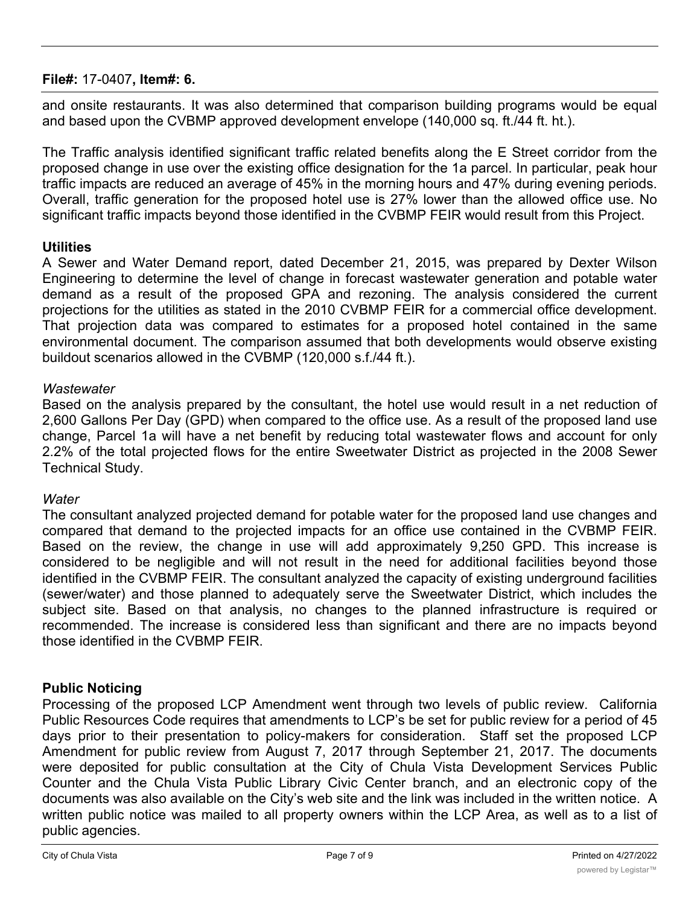and onsite restaurants. It was also determined that comparison building programs would be equal and based upon the CVBMP approved development envelope (140,000 sq. ft./44 ft. ht.).

The Traffic analysis identified significant traffic related benefits along the E Street corridor from the proposed change in use over the existing office designation for the 1a parcel. In particular, peak hour traffic impacts are reduced an average of 45% in the morning hours and 47% during evening periods. Overall, traffic generation for the proposed hotel use is 27% lower than the allowed office use. No significant traffic impacts beyond those identified in the CVBMP FEIR would result from this Project.

# **Utilities**

A Sewer and Water Demand report, dated December 21, 2015, was prepared by Dexter Wilson Engineering to determine the level of change in forecast wastewater generation and potable water demand as a result of the proposed GPA and rezoning. The analysis considered the current projections for the utilities as stated in the 2010 CVBMP FEIR for a commercial office development. That projection data was compared to estimates for a proposed hotel contained in the same environmental document. The comparison assumed that both developments would observe existing buildout scenarios allowed in the CVBMP (120,000 s.f./44 ft.).

# *Wastewater*

Based on the analysis prepared by the consultant, the hotel use would result in a net reduction of 2,600 Gallons Per Day (GPD) when compared to the office use. As a result of the proposed land use change, Parcel 1a will have a net benefit by reducing total wastewater flows and account for only 2.2% of the total projected flows for the entire Sweetwater District as projected in the 2008 Sewer Technical Study.

# *Water*

The consultant analyzed projected demand for potable water for the proposed land use changes and compared that demand to the projected impacts for an office use contained in the CVBMP FEIR. Based on the review, the change in use will add approximately 9,250 GPD. This increase is considered to be negligible and will not result in the need for additional facilities beyond those identified in the CVBMP FEIR. The consultant analyzed the capacity of existing underground facilities (sewer/water) and those planned to adequately serve the Sweetwater District, which includes the subject site. Based on that analysis, no changes to the planned infrastructure is required or recommended. The increase is considered less than significant and there are no impacts beyond those identified in the CVBMP FEIR.

# **Public Noticing**

Processing of the proposed LCP Amendment went through two levels of public review. California Public Resources Code requires that amendments to LCP's be set for public review for a period of 45 days prior to their presentation to policy-makers for consideration. Staff set the proposed LCP Amendment for public review from August 7, 2017 through September 21, 2017. The documents were deposited for public consultation at the City of Chula Vista Development Services Public Counter and the Chula Vista Public Library Civic Center branch, and an electronic copy of the documents was also available on the City's web site and the link was included in the written notice. A written public notice was mailed to all property owners within the LCP Area, as well as to a list of public agencies.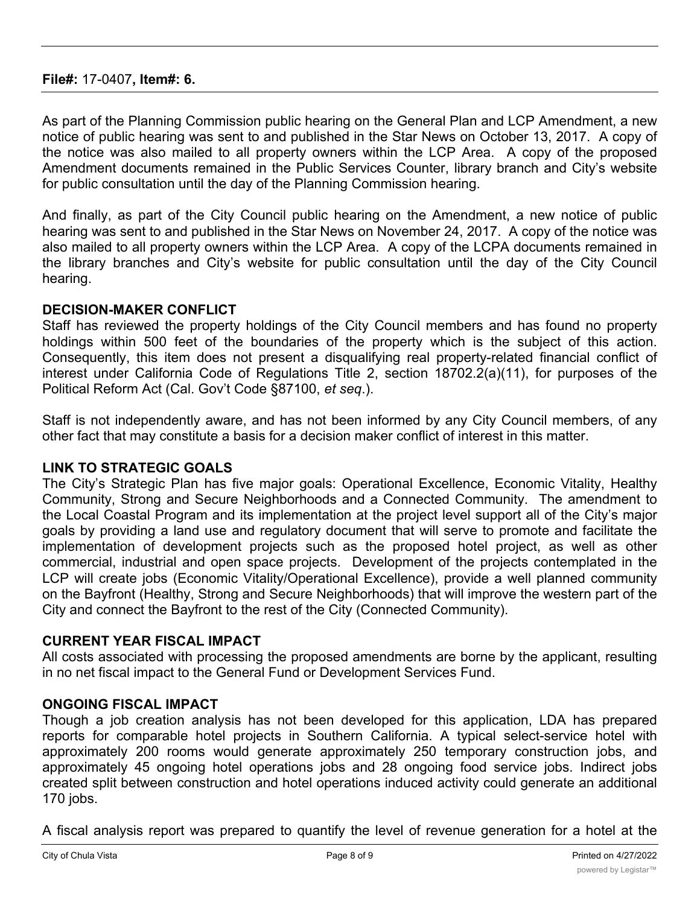As part of the Planning Commission public hearing on the General Plan and LCP Amendment, a new notice of public hearing was sent to and published in the Star News on October 13, 2017. A copy of the notice was also mailed to all property owners within the LCP Area. A copy of the proposed Amendment documents remained in the Public Services Counter, library branch and City's website for public consultation until the day of the Planning Commission hearing.

And finally, as part of the City Council public hearing on the Amendment, a new notice of public hearing was sent to and published in the Star News on November 24, 2017. A copy of the notice was also mailed to all property owners within the LCP Area. A copy of the LCPA documents remained in the library branches and City's website for public consultation until the day of the City Council hearing.

### **DECISION-MAKER CONFLICT**

Staff has reviewed the property holdings of the City Council members and has found no property holdings within 500 feet of the boundaries of the property which is the subject of this action. Consequently, this item does not present a disqualifying real property-related financial conflict of interest under California Code of Regulations Title 2, section 18702.2(a)(11), for purposes of the Political Reform Act (Cal. Gov't Code §87100, *et seq*.).

Staff is not independently aware, and has not been informed by any City Council members, of any other fact that may constitute a basis for a decision maker conflict of interest in this matter.

# **LINK TO STRATEGIC GOALS**

The City's Strategic Plan has five major goals: Operational Excellence, Economic Vitality, Healthy Community, Strong and Secure Neighborhoods and a Connected Community. The amendment to the Local Coastal Program and its implementation at the project level support all of the City's major goals by providing a land use and regulatory document that will serve to promote and facilitate the implementation of development projects such as the proposed hotel project, as well as other commercial, industrial and open space projects. Development of the projects contemplated in the LCP will create jobs (Economic Vitality/Operational Excellence), provide a well planned community on the Bayfront (Healthy, Strong and Secure Neighborhoods) that will improve the western part of the City and connect the Bayfront to the rest of the City (Connected Community).

# **CURRENT YEAR FISCAL IMPACT**

All costs associated with processing the proposed amendments are borne by the applicant, resulting in no net fiscal impact to the General Fund or Development Services Fund.

### **ONGOING FISCAL IMPACT**

Though a job creation analysis has not been developed for this application, LDA has prepared reports for comparable hotel projects in Southern California. A typical select-service hotel with approximately 200 rooms would generate approximately 250 temporary construction jobs, and approximately 45 ongoing hotel operations jobs and 28 ongoing food service jobs. Indirect jobs created split between construction and hotel operations induced activity could generate an additional 170 jobs.

A fiscal analysis report was prepared to quantify the level of revenue generation for a hotel at the